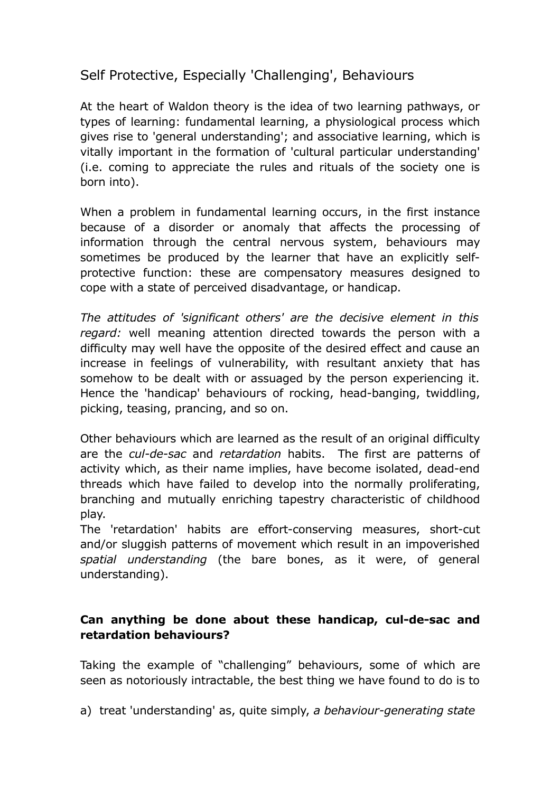Self Protective, Especially 'Challenging', Behaviours

At the heart of Waldon theory is the idea of two learning pathways, or types of learning: fundamental learning, a physiological process which gives rise to 'general understanding'; and associative learning, which is vitally important in the formation of 'cultural particular understanding' (i.e. coming to appreciate the rules and rituals of the society one is born into).

When a problem in fundamental learning occurs, in the first instance because of a disorder or anomaly that affects the processing of information through the central nervous system, behaviours may sometimes be produced by the learner that have an explicitly selfprotective function: these are compensatory measures designed to cope with a state of perceived disadvantage, or handicap.

*The attitudes of 'significant others' are the decisive element in this regard:* well meaning attention directed towards the person with a difficulty may well have the opposite of the desired effect and cause an increase in feelings of vulnerability, with resultant anxiety that has somehow to be dealt with or assuaged by the person experiencing it. Hence the 'handicap' behaviours of rocking, head-banging, twiddling, picking, teasing, prancing, and so on.

Other behaviours which are learned as the result of an original difficulty are the *cul-de-sac* and *retardation* habits. The first are patterns of activity which, as their name implies, have become isolated, dead-end threads which have failed to develop into the normally proliferating, branching and mutually enriching tapestry characteristic of childhood play.

The 'retardation' habits are effort-conserving measures, short-cut and/or sluggish patterns of movement which result in an impoverished *spatial understanding* (the bare bones, as it were, of general understanding).

## **Can anything be done about these handicap, cul-de-sac and retardation behaviours?**

Taking the example of "challenging" behaviours, some of which are seen as notoriously intractable, the best thing we have found to do is to

a) treat 'understanding' as, quite simply, *a behaviour-generating state*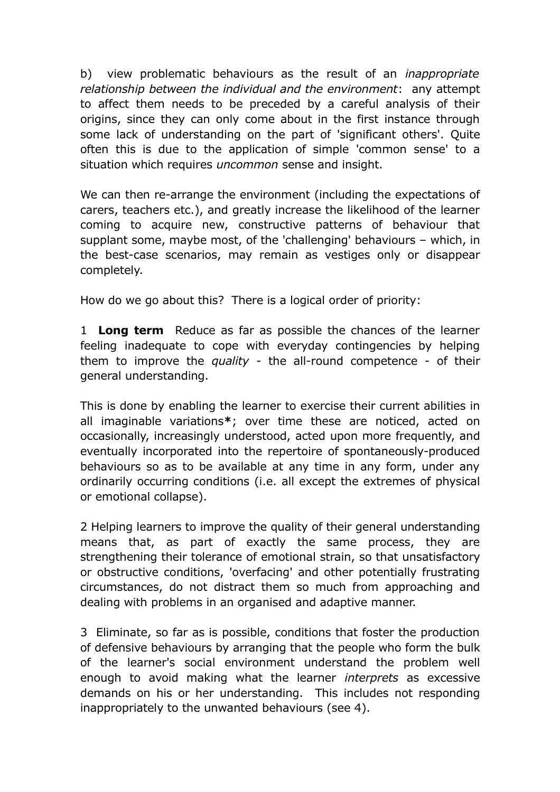b) view problematic behaviours as the result of an *inappropriate relationship between the individual and the environment*: any attempt to affect them needs to be preceded by a careful analysis of their origins, since they can only come about in the first instance through some lack of understanding on the part of 'significant others'. Quite often this is due to the application of simple 'common sense' to a situation which requires *uncommon* sense and insight.

We can then re-arrange the environment (including the expectations of carers, teachers etc.), and greatly increase the likelihood of the learner coming to acquire new, constructive patterns of behaviour that supplant some, maybe most, of the 'challenging' behaviours – which, in the best-case scenarios, may remain as vestiges only or disappear completely.

How do we go about this? There is a logical order of priority:

1 **Long term** Reduce as far as possible the chances of the learner feeling inadequate to cope with everyday contingencies by helping them to improve the *quality* - the all-round competence - of their general understanding.

This is done by enabling the learner to exercise their current abilities in all imaginable variations**\***; over time these are noticed, acted on occasionally, increasingly understood, acted upon more frequently, and eventually incorporated into the repertoire of spontaneously-produced behaviours so as to be available at any time in any form, under any ordinarily occurring conditions (i.e. all except the extremes of physical or emotional collapse).

2 Helping learners to improve the quality of their general understanding means that, as part of exactly the same process, they are strengthening their tolerance of emotional strain, so that unsatisfactory or obstructive conditions, 'overfacing' and other potentially frustrating circumstances, do not distract them so much from approaching and dealing with problems in an organised and adaptive manner.

3 Eliminate, so far as is possible, conditions that foster the production of defensive behaviours by arranging that the people who form the bulk of the learner's social environment understand the problem well enough to avoid making what the learner *interprets* as excessive demands on his or her understanding. This includes not responding inappropriately to the unwanted behaviours (see 4).